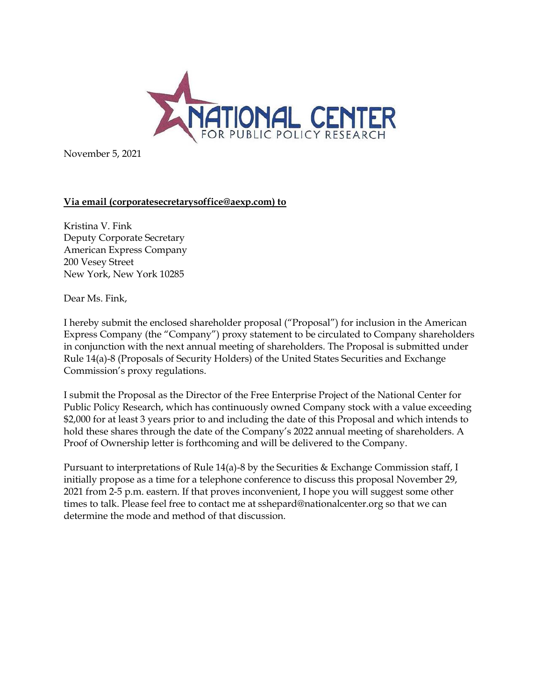

November 5, 2021

## **Via email (corporatesecretarysoffice@aexp.com) to**

Kristina V. Fink Deputy Corporate Secretary American Express Company 200 Vesey Street New York, New York 10285

Dear Ms. Fink,

I hereby submit the enclosed shareholder proposal ("Proposal") for inclusion in the American Express Company (the "Company") proxy statement to be circulated to Company shareholders in conjunction with the next annual meeting of shareholders. The Proposal is submitted under Rule 14(a)-8 (Proposals of Security Holders) of the United States Securities and Exchange Commission's proxy regulations.

I submit the Proposal as the Director of the Free Enterprise Project of the National Center for Public Policy Research, which has continuously owned Company stock with a value exceeding \$2,000 for at least 3 years prior to and including the date of this Proposal and which intends to hold these shares through the date of the Company's 2022 annual meeting of shareholders. A Proof of Ownership letter is forthcoming and will be delivered to the Company.

Pursuant to interpretations of Rule 14(a)-8 by the Securities & Exchange Commission staff, I initially propose as a time for a telephone conference to discuss this proposal November 29, 2021 from 2-5 p.m. eastern. If that proves inconvenient, I hope you will suggest some other times to talk. Please feel free to contact me at sshepard@nationalcenter.org so that we can determine the mode and method of that discussion.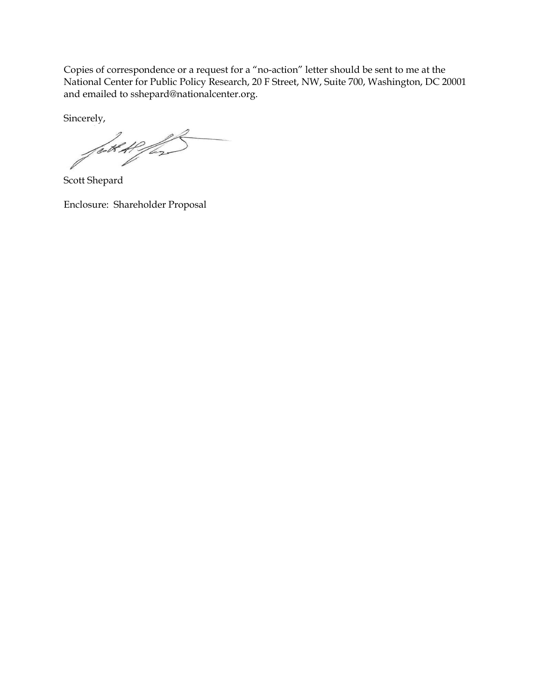Copies of correspondence or a request for a "no-action" letter should be sent to me at the National Center for Public Policy Research, 20 F Street, NW, Suite 700, Washington, DC 20001 and emailed to sshepard@nationalcenter.org.

Sincerely,

født Heffen

Scott Shepard

Enclosure: Shareholder Proposal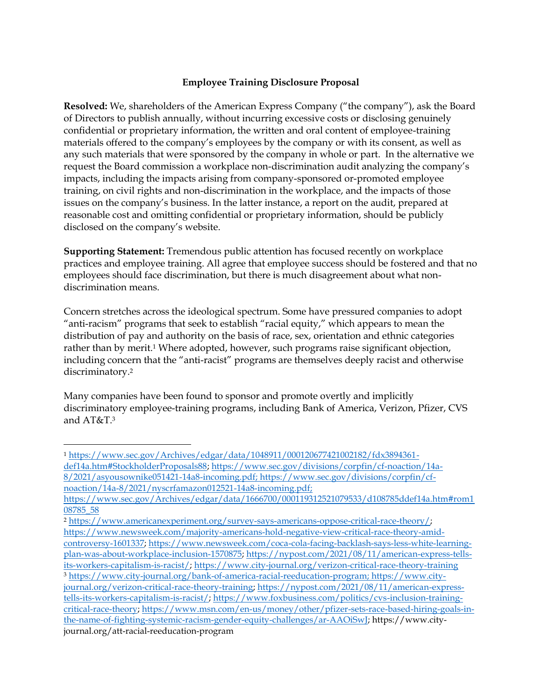## **Employee Training Disclosure Proposal**

**Resolved:** We, shareholders of the American Express Company ("the company"), ask the Board of Directors to publish annually, without incurring excessive costs or disclosing genuinely confidential or proprietary information, the written and oral content of employee-training materials offered to the company's employees by the company or with its consent, as well as any such materials that were sponsored by the company in whole or part. In the alternative we request the Board commission a workplace non-discrimination audit analyzing the company's impacts, including the impacts arising from company-sponsored or-promoted employee training, on civil rights and non-discrimination in the workplace, and the impacts of those issues on the company's business. In the latter instance, a report on the audit, prepared at reasonable cost and omitting confidential or proprietary information, should be publicly disclosed on the company's website.

**Supporting Statement:** Tremendous public attention has focused recently on workplace practices and employee training. All agree that employee success should be fostered and that no employees should face discrimination, but there is much disagreement about what nondiscrimination means.

Concern stretches across the ideological spectrum. Some have pressured companies to adopt "anti-racism" programs that seek to establish "racial equity," which appears to mean the distribution of pay and authority on the basis of race, sex, orientation and ethnic categories rather than by merit.<sup>1</sup> Where adopted, however, such programs raise significant objection, including concern that the "anti-racist" programs are themselves deeply racist and otherwise discriminatory.<sup>2</sup>

Many companies have been found to sponsor and promote overtly and implicitly discriminatory employee-training programs, including Bank of America, Verizon, Pfizer, CVS and AT&T.<sup>3</sup>

<sup>1</sup> [https://www.sec.gov/Archives/edgar/data/1048911/000120677421002182/fdx3894361](https://www.sec.gov/Archives/edgar/data/1048911/000120677421002182/fdx3894361-def14a.htm#StockholderProposals88) [def14a.htm#StockholderProposals88;](https://www.sec.gov/Archives/edgar/data/1048911/000120677421002182/fdx3894361-def14a.htm#StockholderProposals88) [https://www.sec.gov/divisions/corpfin/cf-noaction/14a-](https://www.sec.gov/divisions/corpfin/cf-noaction/14a-8/2021/asyousownike051421-14a8-incoming.pdf)

[<sup>8/2021/</sup>asyousownike051421-14a8-incoming.pdf;](https://www.sec.gov/divisions/corpfin/cf-noaction/14a-8/2021/asyousownike051421-14a8-incoming.pdf) [https://www.sec.gov/divisions/corpfin/cf](https://www.sec.gov/divisions/corpfin/cf-noaction/14a-8/2021/nyscrfamazon012521-14a8-incoming.pdf)[noaction/14a-8/2021/nyscrfamazon012521-14a8-incoming.pdf;](https://www.sec.gov/divisions/corpfin/cf-noaction/14a-8/2021/nyscrfamazon012521-14a8-incoming.pdf)

https://www.sec.gov/Archives/edgar/data/1666700/000119312521079533/d108785ddef14a.htm#rom1 08785\_58

<sup>2</sup> [https://www.americanexperiment.org/survey-says-americans-oppose-critical-race-theory/;](https://www.americanexperiment.org/survey-says-americans-oppose-critical-race-theory/) [https://www.newsweek.com/majority-americans-hold-negative-view-critical-race-theory-amid-](https://www.newsweek.com/majority-americans-hold-negative-view-critical-race-theory-amid-controversy-1601337)

[controversy-1601337;](https://www.newsweek.com/majority-americans-hold-negative-view-critical-race-theory-amid-controversy-1601337) [https://www.newsweek.com/coca-cola-facing-backlash-says-less-white-learning](https://www.newsweek.com/coca-cola-facing-backlash-says-less-white-learning-plan-was-about-workplace-inclusion-1570875)[plan-was-about-workplace-inclusion-1570875;](https://www.newsweek.com/coca-cola-facing-backlash-says-less-white-learning-plan-was-about-workplace-inclusion-1570875) [https://nypost.com/2021/08/11/american-express-tells](https://nypost.com/2021/08/11/american-express-tells-its-workers-capitalism-is-racist/)[its-workers-capitalism-is-racist/;](https://nypost.com/2021/08/11/american-express-tells-its-workers-capitalism-is-racist/)<https://www.city-journal.org/verizon-critical-race-theory-training>

<sup>3</sup> [https://www.city-journal.org/bank-of-america-racial-reeducation-program;](https://www.city-journal.org/bank-of-america-racial-reeducation-program) [https://www.city](https://www.city-journal.org/verizon-critical-race-theory-training)[journal.org/verizon-critical-race-theory-training;](https://www.city-journal.org/verizon-critical-race-theory-training) [https://nypost.com/2021/08/11/american-express](https://nypost.com/2021/08/11/american-express-tells-its-workers-capitalism-is-racist/)[tells-its-workers-capitalism-is-racist/;](https://nypost.com/2021/08/11/american-express-tells-its-workers-capitalism-is-racist/) [https://www.foxbusiness.com/politics/cvs-inclusion-training](https://www.foxbusiness.com/politics/cvs-inclusion-training-critical-race-theory)[critical-race-theory;](https://www.foxbusiness.com/politics/cvs-inclusion-training-critical-race-theory) [https://www.msn.com/en-us/money/other/pfizer-sets-race-based-hiring-goals-in](https://www.msn.com/en-us/money/other/pfizer-sets-race-based-hiring-goals-in-the-name-of-fighting-systemic-racism-gender-equity-challenges/ar-AAOiSwJ)[the-name-of-fighting-systemic-racism-gender-equity-challenges/ar-AAOiSwJ;](https://www.msn.com/en-us/money/other/pfizer-sets-race-based-hiring-goals-in-the-name-of-fighting-systemic-racism-gender-equity-challenges/ar-AAOiSwJ) https://www.cityjournal.org/att-racial-reeducation-program